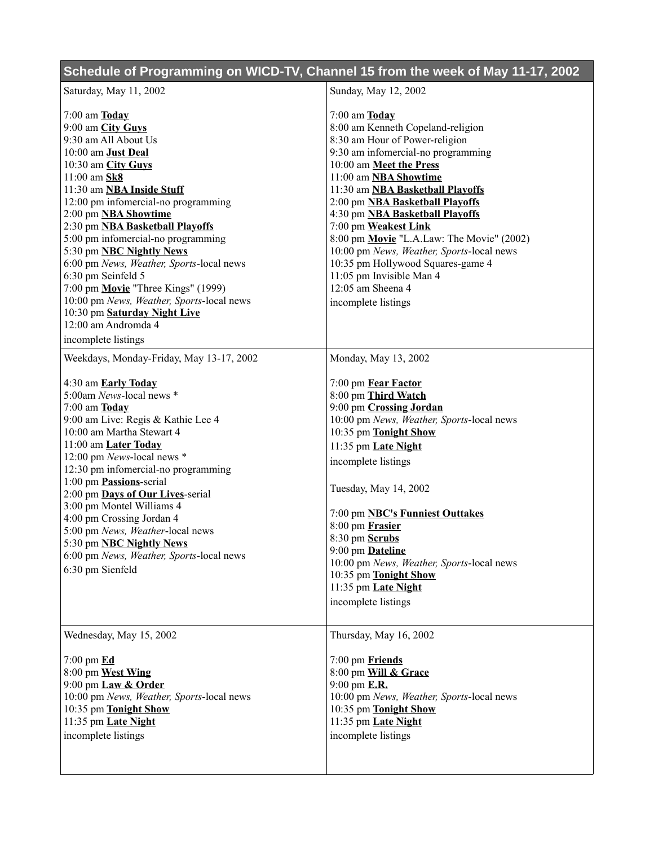| Schedule of Programming on WICD-TV, Channel 15 from the week of May 11-17, 2002                                                                                                                                                                                                                                                                                                                                                                                                                                                                                                                                     |                                                                                                                                                                                                                                                                                                                                                                                                                                                                                                                                                  |
|---------------------------------------------------------------------------------------------------------------------------------------------------------------------------------------------------------------------------------------------------------------------------------------------------------------------------------------------------------------------------------------------------------------------------------------------------------------------------------------------------------------------------------------------------------------------------------------------------------------------|--------------------------------------------------------------------------------------------------------------------------------------------------------------------------------------------------------------------------------------------------------------------------------------------------------------------------------------------------------------------------------------------------------------------------------------------------------------------------------------------------------------------------------------------------|
| Saturday, May 11, 2002                                                                                                                                                                                                                                                                                                                                                                                                                                                                                                                                                                                              | Sunday, May 12, 2002                                                                                                                                                                                                                                                                                                                                                                                                                                                                                                                             |
| $7:00$ am $\overline{\text{Iodav}}$<br>9:00 am City Guys<br>9:30 am All About Us<br>10:00 am <b>Just Deal</b><br>10:30 am City Guys<br>11:00 am Sk8<br>11:30 am <b>NBA Inside Stuff</b><br>12:00 pm infomercial-no programming<br>2:00 pm <b>NBA Showtime</b><br>2:30 pm <b>NBA Basketball Playoffs</b><br>5:00 pm infomercial-no programming<br>5:30 pm <b>NBC Nightly News</b><br>6:00 pm News, Weather, Sports-local news<br>6:30 pm Seinfeld 5<br>7:00 pm Movie "Three Kings" (1999)<br>10:00 pm News, Weather, Sports-local news<br>10:30 pm Saturday Night Live<br>12:00 am Andromda 4<br>incomplete listings | $7:00$ am $\underline{\textbf{Today}}$<br>8:00 am Kenneth Copeland-religion<br>8:30 am Hour of Power-religion<br>9:30 am infomercial-no programming<br>10:00 am Meet the Press<br>11:00 am NBA Showtime<br>11:30 am NBA Basketball Playoffs<br>2:00 pm NBA Basketball Playoffs<br>4:30 pm NBA Basketball Playoffs<br>7:00 pm Weakest Link<br>8:00 pm Movie "L.A.Law: The Movie" (2002)<br>10:00 pm News, Weather, Sports-local news<br>10:35 pm Hollywood Squares-game 4<br>11:05 pm Invisible Man 4<br>12:05 am Sheena 4<br>incomplete listings |
| Weekdays, Monday-Friday, May 13-17, 2002<br>4:30 am <b>Early Today</b><br>5:00am News-local news *<br>$7:00$ am $\underline{\textbf{Today}}$<br>9:00 am Live: Regis & Kathie Lee 4<br>10:00 am Martha Stewart 4<br>11:00 am Later Today<br>12:00 pm News-local news *<br>12:30 pm infomercial-no programming<br>1:00 pm Passions-serial<br>2:00 pm Days of Our Lives-serial<br>3:00 pm Montel Williams 4<br>4:00 pm Crossing Jordan 4<br>5:00 pm News, Weather-local news<br>5:30 pm NBC Nightly News<br>6:00 pm News, Weather, Sports-local news<br>6:30 pm Sienfeld                                               | Monday, May 13, 2002<br>7:00 pm Fear Factor<br>8:00 pm Third Watch<br>9:00 pm Crossing Jordan<br>10:00 pm News, Weather, Sports-local news<br>10:35 pm Tonight Show<br>11:35 pm Late Night<br>incomplete listings<br>Tuesday, May 14, 2002<br>7:00 pm NBC's Funniest Outtakes<br>8:00 pm Frasier<br>8:30 pm Scrubs<br>9:00 pm <b>Dateline</b><br>10:00 pm News, Weather, Sports-local news<br>10:35 pm Tonight Show<br>11:35 pm Late Night<br>incomplete listings                                                                                |
| Wednesday, May 15, 2002<br>$7:00$ pm $\underline{\mathbf{Ed}}$<br>8:00 pm West Wing<br>9:00 pm Law & Order<br>10:00 pm News, Weather, Sports-local news<br>10:35 pm Tonight Show<br>11:35 pm Late Night<br>incomplete listings                                                                                                                                                                                                                                                                                                                                                                                      | Thursday, May 16, 2002<br>7:00 pm Friends<br>8:00 pm Will & Grace<br>9:00 pm <b>E.R.</b><br>10:00 pm News, Weather, Sports-local news<br>10:35 pm Tonight Show<br>11:35 pm Late Night<br>incomplete listings                                                                                                                                                                                                                                                                                                                                     |